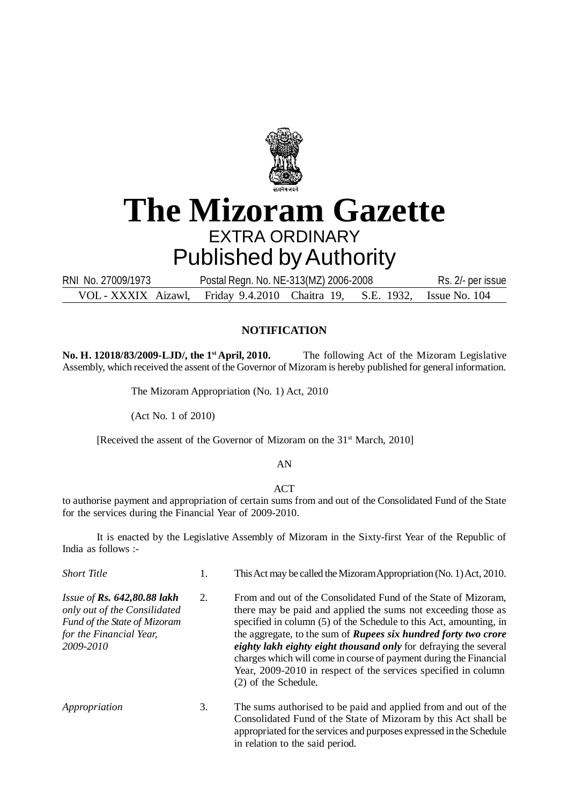

# **The Mizoram Gazette** EXTRA ORDINARY Published by Authority

VOL - XXXIX Aizawl, Friday 9.4.2010 Chaitra 19, S.E. 1932, Issue No. 104 RNI No. 27009/1973 Postal Regn. No. NE-313(MZ) 2006-2008 Rs. 2/- per issue

### **NOTIFICATION**

**No. H. 12018/83/2009-LJD/, the 1st April, 2010.** The following Act of the Mizoram Legislative Assembly, which received the assent of the Governor of Mizoram is hereby published for general information.

The Mizoram Appropriation (No. 1) Act, 2010

(Act No. 1 of 2010)

[Received the assent of the Governor of Mizoram on the 31<sup>st</sup> March, 2010]

#### AN

#### **ACT**

to authorise payment and appropriation of certain sums from and out of the Consolidated Fund of the State for the services during the Financial Year of 2009-2010.

It is enacted by the Legislative Assembly of Mizoram in the Sixty-first Year of the Republic of India as follows :-

| <b>Short Title</b>                                                                                                                    | 1. | This Act may be called the Mizoram Appropriation (No. 1) Act, 2010.                                                                                                                                                                                                                                                                                                                                                                                                                                                |
|---------------------------------------------------------------------------------------------------------------------------------------|----|--------------------------------------------------------------------------------------------------------------------------------------------------------------------------------------------------------------------------------------------------------------------------------------------------------------------------------------------------------------------------------------------------------------------------------------------------------------------------------------------------------------------|
| Issue of Rs. $642,80.88$ lakh<br>only out of the Consilidated<br>Fund of the State of Mizoram<br>for the Financial Year,<br>2009-2010 | 2. | From and out of the Consolidated Fund of the State of Mizoram,<br>there may be paid and applied the sums not exceeding those as<br>specified in column (5) of the Schedule to this Act, amounting, in<br>the aggregate, to the sum of <i>Rupees six hundred forty two crore</i><br>eighty lakh eighty eight thousand only for defraying the several<br>charges which will come in course of payment during the Financial<br>Year, 2009-2010 in respect of the services specified in column<br>(2) of the Schedule. |
| Appropriation                                                                                                                         | 3. | The sums authorised to be paid and applied from and out of the<br>Consolidated Fund of the State of Mizoram by this Act shall be<br>appropriated for the services and purposes expressed in the Schedule<br>in relation to the said period.                                                                                                                                                                                                                                                                        |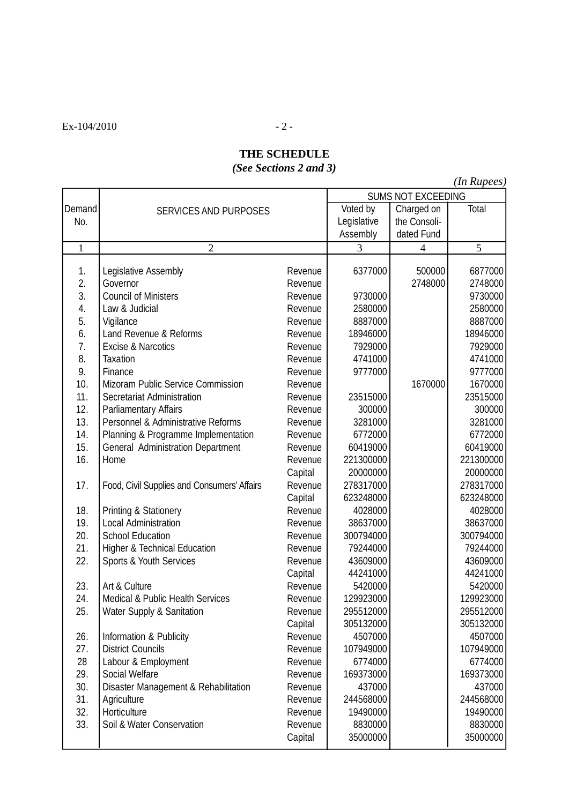$Ex-104/2010$  - 2 -

## **THE SCHEDULE** *(See Sections 2 and 3)*

*(In Rupees)*

|        |                                             | <b>SUMS NOT EXCEEDING</b> |              |                |           |
|--------|---------------------------------------------|---------------------------|--------------|----------------|-----------|
| Demand | <b>SERVICES AND PURPOSES</b>                | Voted by                  | Charged on   | Total          |           |
| No.    |                                             | Legislative               | the Consoli- |                |           |
|        |                                             |                           | Assembly     | dated Fund     |           |
| 1      | $\overline{2}$                              |                           | 3            | $\overline{4}$ | 5         |
| 1.     | Legislative Assembly                        | Revenue                   | 6377000      | 500000         | 6877000   |
| 2.     | Governor                                    | Revenue                   |              | 2748000        | 2748000   |
| 3.     | <b>Council of Ministers</b>                 | Revenue                   | 9730000      |                | 9730000   |
| 4.     | Law & Judicial                              | Revenue                   | 2580000      |                | 2580000   |
| 5.     | Vigilance                                   | Revenue                   | 8887000      |                | 8887000   |
| 6.     | Land Revenue & Reforms                      | Revenue                   | 18946000     |                | 18946000  |
| 7.     | Excise & Narcotics                          | Revenue                   | 7929000      |                | 7929000   |
| 8.     | <b>Taxation</b>                             | Revenue                   | 4741000      |                | 4741000   |
| 9.     | Finance                                     | Revenue                   | 9777000      |                | 9777000   |
| 10.    | Mizoram Public Service Commission           | Revenue                   |              | 1670000        | 1670000   |
| 11.    | Secretariat Administration                  | Revenue                   | 23515000     |                | 23515000  |
| 12.    | Parliamentary Affairs                       | Revenue                   | 300000       |                | 300000    |
| 13.    | Personnel & Administrative Reforms          | Revenue                   | 3281000      |                | 3281000   |
| 14.    | Planning & Programme Implementation         | Revenue                   | 6772000      |                | 6772000   |
| 15.    | General Administration Department           | Revenue                   | 60419000     |                | 60419000  |
| 16.    | Home                                        | Revenue                   | 221300000    |                | 221300000 |
|        |                                             | Capital                   | 20000000     |                | 20000000  |
| 17.    | Food, Civil Supplies and Consumers' Affairs | Revenue                   | 278317000    |                | 278317000 |
|        |                                             | Capital                   | 623248000    |                | 623248000 |
| 18.    | Printing & Stationery                       | Revenue                   | 4028000      |                | 4028000   |
| 19.    | Local Administration                        | Revenue                   | 38637000     |                | 38637000  |
| 20.    | <b>School Education</b>                     | Revenue                   | 300794000    |                | 300794000 |
| 21.    | <b>Higher &amp; Technical Education</b>     | Revenue                   | 79244000     |                | 79244000  |
| 22.    | Sports & Youth Services                     | Revenue                   | 43609000     |                | 43609000  |
|        |                                             | Capital                   | 44241000     |                | 44241000  |
| 23.    | Art & Culture                               | Revenue                   | 5420000      |                | 5420000   |
| 24.    | Medical & Public Health Services            | Revenue                   | 129923000    |                | 129923000 |
| 25.    | <b>Water Supply &amp; Sanitation</b>        | Revenue                   | 295512000    |                | 295512000 |
|        |                                             | Capital                   | 305132000    |                | 305132000 |
| 26.    | Information & Publicity                     | Revenue                   | 4507000      |                | 4507000   |
| 27.    | <b>District Councils</b>                    | Revenue                   | 107949000    |                | 107949000 |
| 28     | Labour & Employment                         | Revenue                   | 6774000      |                | 6774000   |
| 29.    | Social Welfare                              | Revenue                   | 169373000    |                | 169373000 |
| 30.    | Disaster Management & Rehabilitation        | Revenue                   | 437000       |                | 437000    |
| 31.    | Agriculture                                 | Revenue                   | 244568000    |                | 244568000 |
| 32.    | Horticulture                                | Revenue                   | 19490000     |                | 19490000  |
| 33.    | Soil & Water Conservation                   | Revenue                   | 8830000      |                | 8830000   |
|        |                                             | Capital                   | 35000000     |                | 35000000  |